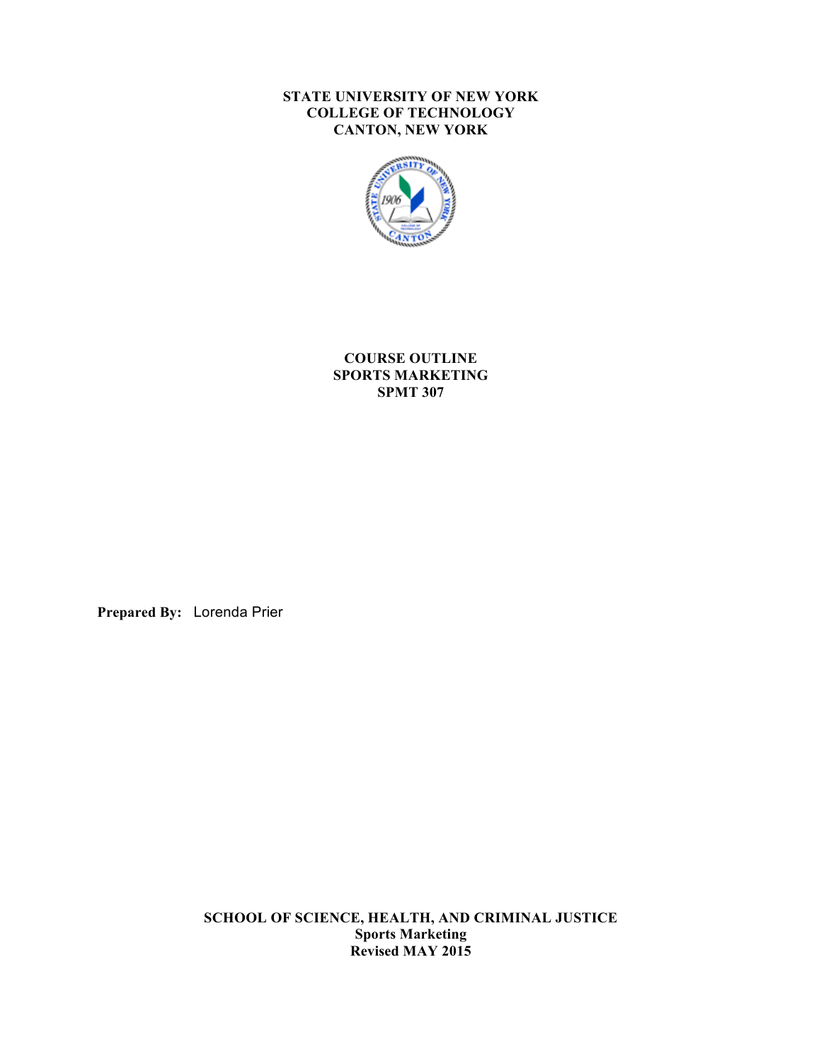#### **STATE UNIVERSITY OF NEW YORK COLLEGE OF TECHNOLOGY CANTON, NEW YORK**



**COURSE OUTLINE SPORTS MARKETING SPMT 307**

**Prepared By:** Lorenda Prier

 **SCHOOL OF SCIENCE, HEALTH, AND CRIMINAL JUSTICE Sports Marketing Revised MAY 2015**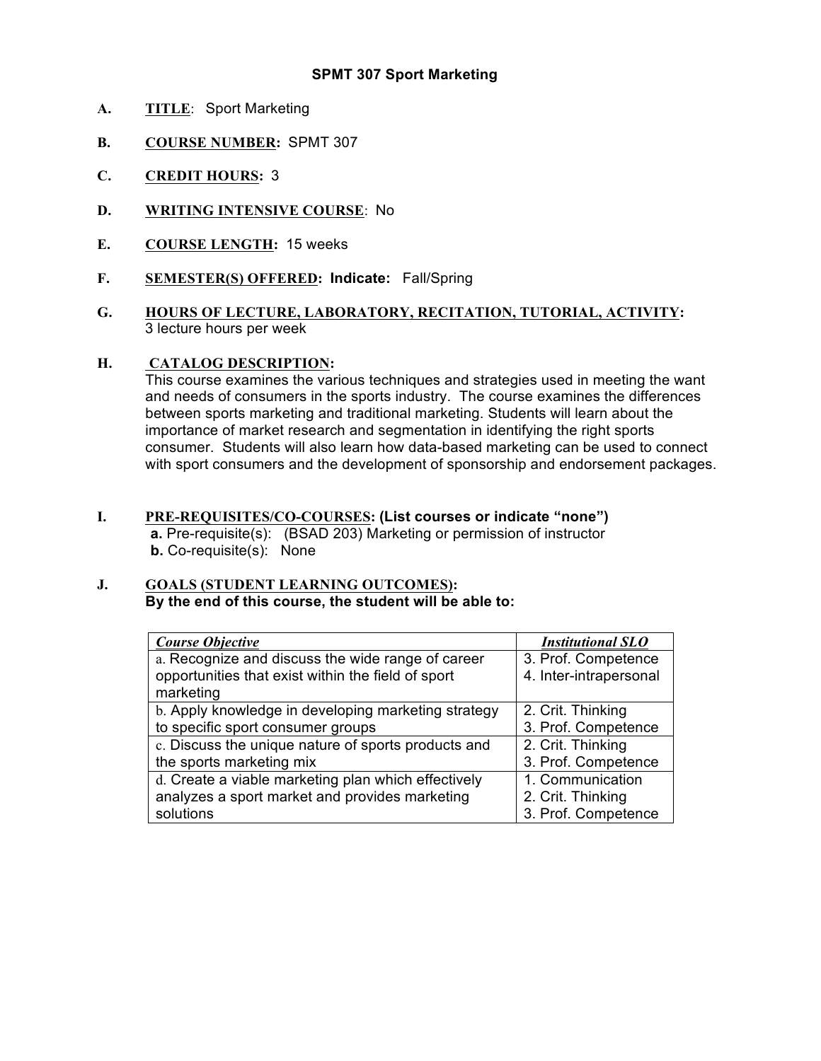### **SPMT 307 Sport Marketing**

- **A. TITLE**: Sport Marketing
- **B. COURSE NUMBER:** SPMT 307
- **C. CREDIT HOURS:** 3
- **D. WRITING INTENSIVE COURSE**: No
- **E. COURSE LENGTH:** 15 weeks
- **F. SEMESTER(S) OFFERED: Indicate:** Fall/Spring
- **G. HOURS OF LECTURE, LABORATORY, RECITATION, TUTORIAL, ACTIVITY:**  3 lecture hours per week

#### **H. CATALOG DESCRIPTION:**

 This course examines the various techniques and strategies used in meeting the want and needs of consumers in the sports industry. The course examines the differences between sports marketing and traditional marketing. Students will learn about the importance of market research and segmentation in identifying the right sports consumer. Students will also learn how data-based marketing can be used to connect with sport consumers and the development of sponsorship and endorsement packages.

 **I. PRE-REQUISITES/CO-COURSES: (List courses or indicate "none") a.** Pre-requisite(s): (BSAD 203) Marketing or permission of instructor **b.** Co-requisite(s): None

#### **J. GOALS (STUDENT LEARNING OUTCOMES): By the end of this course, the student will be able to:**

| <b>Course Objective</b>                             | <b>Institutional SLO</b> |
|-----------------------------------------------------|--------------------------|
| a. Recognize and discuss the wide range of career   | 3. Prof. Competence      |
| opportunities that exist within the field of sport  | 4. Inter-intrapersonal   |
| marketing                                           |                          |
| b. Apply knowledge in developing marketing strategy | 2. Crit. Thinking        |
| to specific sport consumer groups                   | 3. Prof. Competence      |
| c. Discuss the unique nature of sports products and | 2. Crit. Thinking        |
| the sports marketing mix                            | 3. Prof. Competence      |
| d. Create a viable marketing plan which effectively | 1. Communication         |
| analyzes a sport market and provides marketing      | 2. Crit. Thinking        |
| solutions                                           | 3. Prof. Competence      |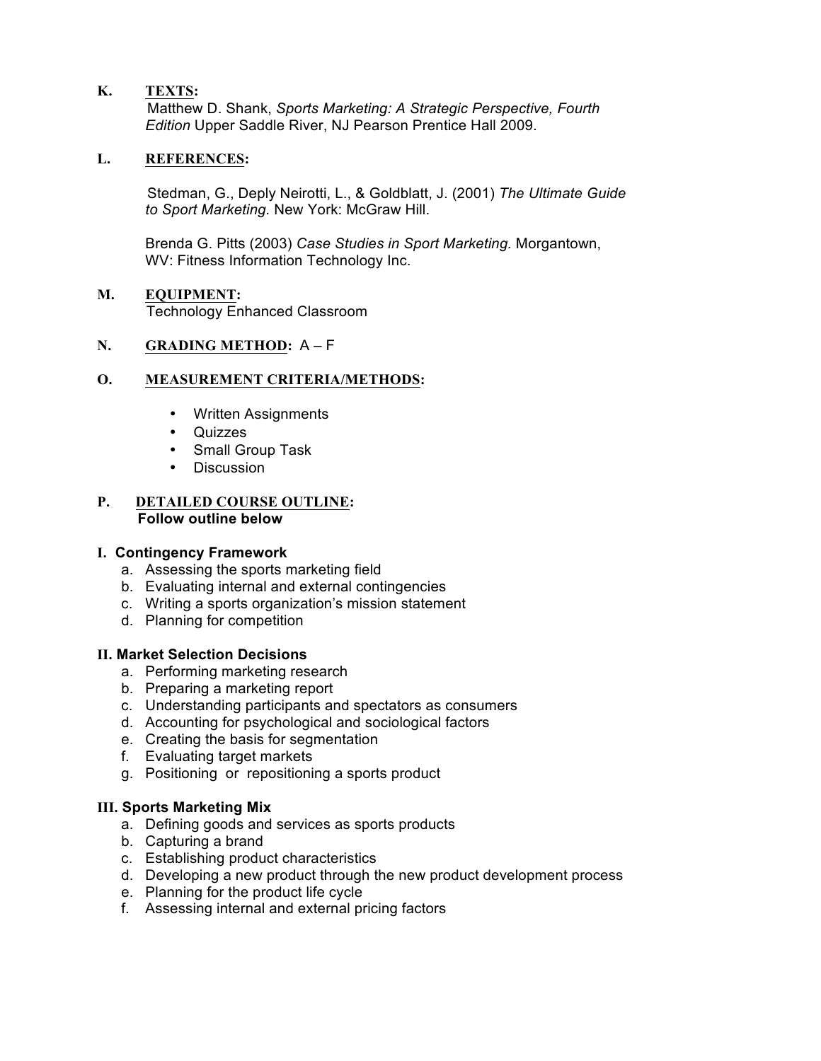## **K. TEXTS:**

 Matthew D. Shank, *Sports Marketing: A Strategic Perspective, Fourth Edition* Upper Saddle River, NJ Pearson Prentice Hall 2009.

### **L. REFERENCES:**

 Stedman, G., Deply Neirotti, L., & Goldblatt, J. (2001) *The Ultimate Guide to Sport Marketing.* New York: McGraw Hill.

 Brenda G. Pitts (2003) *Case Studies in Sport Marketing.* Morgantown, WV: Fitness Information Technology Inc.

#### **M. EQUIPMENT:** Technology Enhanced Classroom

#### **N. GRADING METHOD:** A – F

### **O. MEASUREMENT CRITERIA/METHODS:**

- Written Assignments
- Quizzes
- Small Group Task
- Discussion

#### **P. DETAILED COURSE OUTLINE: Follow outline below**

#### **I. Contingency Framework**

- a. Assessing the sports marketing field
- b. Evaluating internal and external contingencies
- c. Writing a sports organization's mission statement
- d. Planning for competition

#### **II. Market Selection Decisions**

- a. Performing marketing research
- b. Preparing a marketing report
- c. Understanding participants and spectators as consumers
- d. Accounting for psychological and sociological factors
- e. Creating the basis for segmentation
- f. Evaluating target markets
- g. Positioning or repositioning a sports product

## **III. Sports Marketing Mix**

- a. Defining goods and services as sports products
- b. Capturing a brand
- c. Establishing product characteristics
- d. Developing a new product through the new product development process
- e. Planning for the product life cycle
- f. Assessing internal and external pricing factors